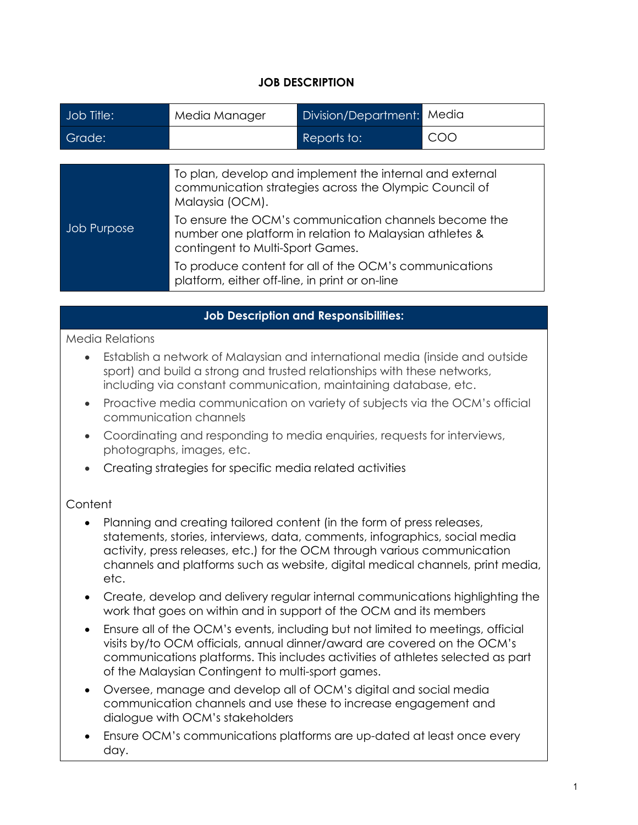### **JOB DESCRIPTION**

| Job Title:  | Media Manager                                                                                                                                        | Division/Department: | Media |  |
|-------------|------------------------------------------------------------------------------------------------------------------------------------------------------|----------------------|-------|--|
| Grade:      |                                                                                                                                                      | Reports to:          | COO   |  |
|             |                                                                                                                                                      |                      |       |  |
|             | To plan, develop and implement the internal and external<br>communication strategies across the Olympic Council of<br>Malaysia (OCM).                |                      |       |  |
| Job Purpose | To ensure the OCM's communication channels become the<br>number one platform in relation to Malaysian athletes &<br>contingent to Multi-Sport Games. |                      |       |  |
|             | To produce content for all of the OCM's communications<br>platform, either off-line, in print or on-line                                             |                      |       |  |

### **Job Description and Responsibilities:**

### Media Relations

- Establish a network of Malaysian and international media (inside and outside sport) and build a strong and trusted relationships with these networks, including via constant communication, maintaining database, etc.
- Proactive media communication on variety of subjects via the OCM's official communication channels
- Coordinating and responding to media enquiries, requests for interviews, photographs, images, etc.
- Creating strategies for specific media related activities

### **Content**

- Planning and creating tailored content (in the form of press releases, statements, stories, interviews, data, comments, infographics, social media activity, press releases, etc.) for the OCM through various communication channels and platforms such as website, digital medical channels, print media, etc.
- Create, develop and delivery regular internal communications highlighting the work that goes on within and in support of the OCM and its members
- Ensure all of the OCM's events, including but not limited to meetings, official visits by/to OCM officials, annual dinner/award are covered on the OCM's communications platforms. This includes activities of athletes selected as part of the Malaysian Contingent to multi-sport games.
- Oversee, manage and develop all of OCM's digital and social media communication channels and use these to increase engagement and dialogue with OCM's stakeholders
- Ensure OCM's communications platforms are up-dated at least once every day.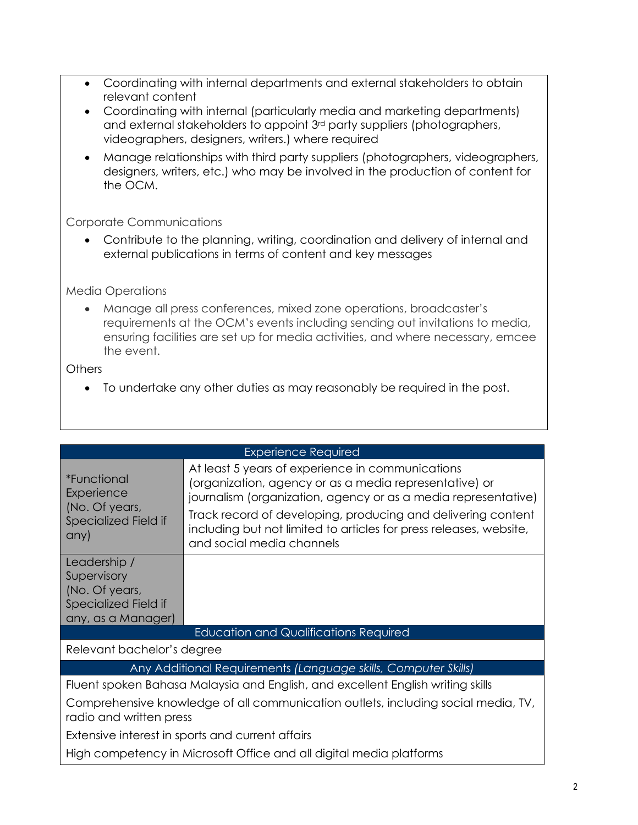- Coordinating with internal departments and external stakeholders to obtain relevant content
- Coordinating with internal (particularly media and marketing departments) and external stakeholders to appoint 3rd party suppliers (photographers, videographers, designers, writers.) where required
- Manage relationships with third party suppliers (photographers, videographers, designers, writers, etc.) who may be involved in the production of content for the OCM.

# Corporate Communications

• Contribute to the planning, writing, coordination and delivery of internal and external publications in terms of content and key messages

## Media Operations

• Manage all press conferences, mixed zone operations, broadcaster's requirements at the OCM's events including sending out invitations to media, ensuring facilities are set up for media activities, and where necessary, emcee the event.

## **Others**

• To undertake any other duties as may reasonably be required in the post.

| <b>Experience Required</b>                                                                                   |                                                                                                                                                                              |  |  |  |
|--------------------------------------------------------------------------------------------------------------|------------------------------------------------------------------------------------------------------------------------------------------------------------------------------|--|--|--|
| <i>*Functional</i><br>Experience<br>(No. Of years,<br>Specialized Field if<br>any)                           | At least 5 years of experience in communications<br>(organization, agency or as a media representative) or<br>journalism (organization, agency or as a media representative) |  |  |  |
|                                                                                                              | Track record of developing, producing and delivering content<br>including but not limited to articles for press releases, website,<br>and social media channels              |  |  |  |
| Leadership /<br>Supervisory                                                                                  |                                                                                                                                                                              |  |  |  |
| (No. Of years,<br>Specialized Field if                                                                       |                                                                                                                                                                              |  |  |  |
| any, as a Manager)                                                                                           |                                                                                                                                                                              |  |  |  |
| <b>Education and Qualifications Required</b>                                                                 |                                                                                                                                                                              |  |  |  |
| Relevant bachelor's degree                                                                                   |                                                                                                                                                                              |  |  |  |
| Any Additional Requirements (Language skills, Computer Skills)                                               |                                                                                                                                                                              |  |  |  |
| Fluent spoken Bahasa Malaysia and English, and excellent English writing skills                              |                                                                                                                                                                              |  |  |  |
| Comprehensive knowledge of all communication outlets, including social media, TV,<br>radio and written press |                                                                                                                                                                              |  |  |  |
| Extensive interest in sports and current affairs                                                             |                                                                                                                                                                              |  |  |  |
| High competency in Microsoft Office and all digital media platforms                                          |                                                                                                                                                                              |  |  |  |